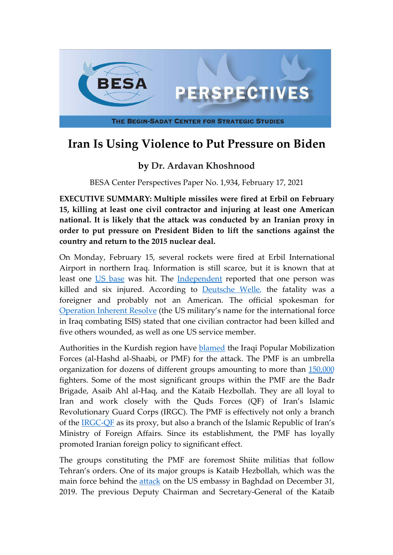

## **Iran Is Using Violence to Put Pressure on Biden**

## **by Dr. Ardavan Khoshnood**

BESA Center Perspectives Paper No. 1,934, February 17, 2021

**EXECUTIVE SUMMARY: Multiple missiles were fired at Erbil on February 15, killing at least one civil contractor and injuring at least one American national. It is likely that the attack was conducted by an Iranian proxy in order to put pressure on President Biden to lift the sanctions against the country and return to the 2015 nuclear deal.**

On Monday, February 15, several rockets were fired at Erbil International Airport in northern Iraq. Information is still scarce, but it is known that at least one [US base](https://english.alarabiya.net/News/middle-east/2021/02/15/Mortars-land-near-Erbil-airport-Iraqi-Kurdish-security-sources-say) was hit. The [Independent](https://www.independent.co.uk/news/world/middle-east/erbil-rocket-attack-dead-iraq-kurdistan-b1802664.html) reported that one person was killed and six injured. According to [Deutsche Welle,](https://www.dw.com/en/iraq-rocket-attack-in-kurdish-region-kills-foreign-contractor/a-56581337) the fatality was a foreigner and probably not an American. The official spokesman for [Operation Inherent Resolve](https://twitter.com/OIRSpox/status/1361426147356073985) (the US military's name for the international force in Iraq combating ISIS) stated that one civilian contractor had been killed and five others wounded, as well as one US service member.

Authorities in the Kurdish region have [blamed](https://www.aa.com.tr/en/middle-east/iraq-2-rockets-land-inside-niraqs-erbil-airport/2146038) the Iraqi Popular Mobilization Forces (al-Hashd al-Shaabi, or PMF) for the attack. The PMF is an umbrella organization for dozens of different groups amounting to more than [150,000](https://foreignpolicy.com/2019/07/31/iran-backed-militias-are-in-iraq-to-stay/) fighters. Some of the most significant groups within the PMF are the Badr Brigade, Asaib Ahl al-Haq, and the Kataib Hezbollah. They are all loyal to Iran and work closely with the Quds Forces (QF) of Iran's Islamic Revolutionary Guard Corps (IRGC). The PMF is effectively not only a branch of the [IRGC-QF](http://www.cejiss.org/issue-detail/knoshnood2020) as its proxy, but also a branch of the Islamic Republic of Iran's Ministry of Foreign Affairs. Since its establishment, the PMF has loyally promoted Iranian foreign policy to significant effect.

The groups constituting the PMF are foremost Shiite militias that follow Tehran's orders. One of its major groups is Kataib Hezbollah, which was the main force behind the [attack](https://www.theguardian.com/world/2019/dec/31/us-embassy-stormed-in-baghdad) on the US embassy in Baghdad on December 31, 2019. The previous Deputy Chairman and Secretary-General of the Kataib